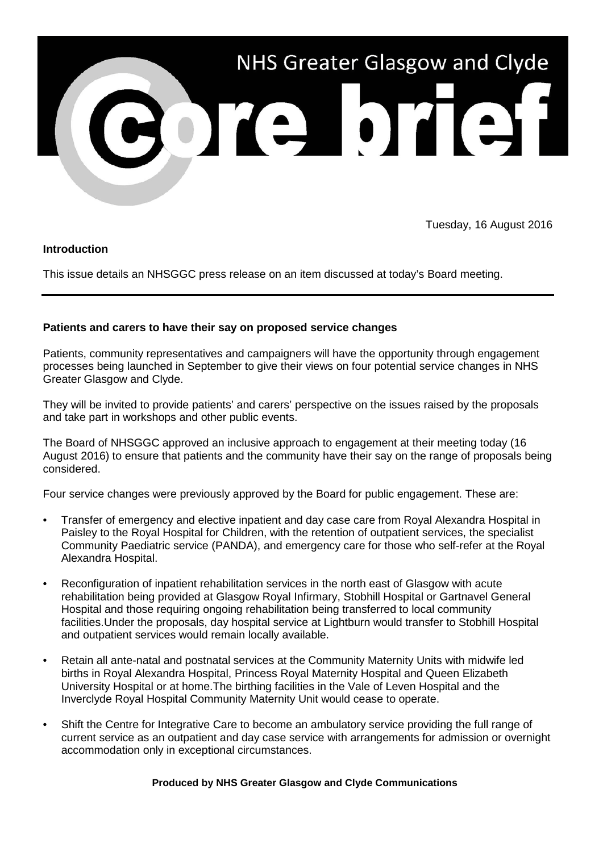

Tuesday, 16 August 2016

## **Introduction**

This issue details an NHSGGC press release on an item discussed at today's Board meeting.

## **Patients and carers to have their say on proposed service changes**

Patients, community representatives and campaigners will have the opportunity through engagement processes being launched in September to give their views on four potential service changes in NHS Greater Glasgow and Clyde.

They will be invited to provide patients' and carers' perspective on the issues raised by the proposals and take part in workshops and other public events.

The Board of NHSGGC approved an inclusive approach to engagement at their meeting today (16 August 2016) to ensure that patients and the community have their say on the range of proposals being considered.

Four service changes were previously approved by the Board for public engagement. These are:

- Transfer of emergency and elective inpatient and day case care from Royal Alexandra Hospital in Paisley to the Royal Hospital for Children, with the retention of outpatient services, the specialist Community Paediatric service (PANDA), and emergency care for those who self-refer at the Royal Alexandra Hospital.
- Reconfiguration of inpatient rehabilitation services in the north east of Glasgow with acute rehabilitation being provided at Glasgow Royal Infirmary, Stobhill Hospital or Gartnavel General Hospital and those requiring ongoing rehabilitation being transferred to local community facilities.Under the proposals, day hospital service at Lightburn would transfer to Stobhill Hospital and outpatient services would remain locally available.
- Retain all ante-natal and postnatal services at the Community Maternity Units with midwife led births in Royal Alexandra Hospital, Princess Royal Maternity Hospital and Queen Elizabeth University Hospital or at home.The birthing facilities in the Vale of Leven Hospital and the Inverclyde Royal Hospital Community Maternity Unit would cease to operate.
- Shift the Centre for Integrative Care to become an ambulatory service providing the full range of current service as an outpatient and day case service with arrangements for admission or overnight accommodation only in exceptional circumstances.

## **Produced by NHS Greater Glasgow and Clyde Communications**